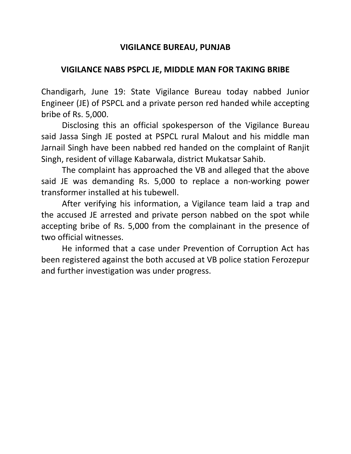## **VIGILANCE BUREAU, PUNJAB**

## **VIGILANCE NABS PSPCL JE, MIDDLE MAN FOR TAKING BRIBE**

Chandigarh, June 19: State Vigilance Bureau today nabbed Junior Engineer (JE) of PSPCL and a private person red handed while accepting bribe of Rs. 5,000.

Disclosing this an official spokesperson of the Vigilance Bureau said Jassa Singh JE posted at PSPCL rural Malout and his middle man Jarnail Singh have been nabbed red handed on the complaint of Ranjit Singh, resident of village Kabarwala, district Mukatsar Sahib.

The complaint has approached the VB and alleged that the above said JE was demanding Rs. 5,000 to replace a non-working power transformer installed at his tubewell.

After verifying his information, a Vigilance team laid a trap and the accused JE arrested and private person nabbed on the spot while accepting bribe of Rs. 5,000 from the complainant in the presence of two official witnesses.

He informed that a case under Prevention of Corruption Act has been registered against the both accused at VB police station Ferozepur and further investigation was under progress.